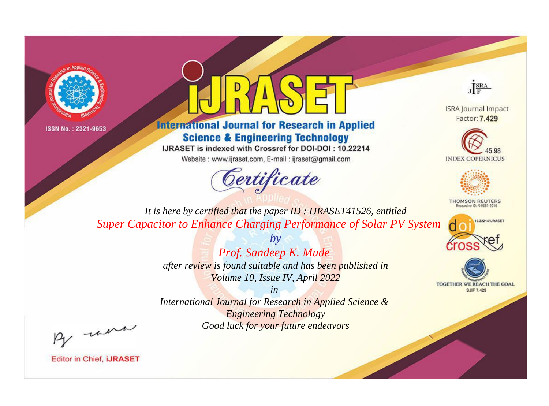



**International Journal for Research in Applied Science & Engineering Technology** 

IJRASET is indexed with Crossref for DOI-DOI: 10.22214

Website: www.ijraset.com, E-mail: ijraset@gmail.com



JERA

**ISRA Journal Impact** Factor: 7,429





**THOMSON REUTERS** 



TOGETHER WE REACH THE GOAL **SJIF 7.429** 

It is here by certified that the paper ID: IJRASET41526, entitled **Super Capacitor to Enhance Charging Performance of Solar PV System** 

> Prof. Sandeep K. Mude after review is found suitable and has been published in Volume 10, Issue IV, April 2022

 $b\nu$ 

 $in$ International Journal for Research in Applied Science & **Engineering Technology** Good luck for your future endeavors

By morn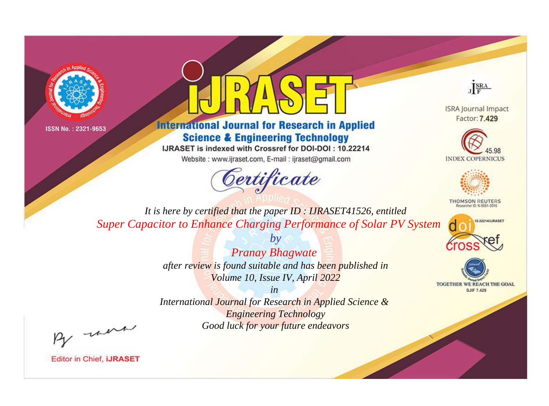



**International Journal for Research in Applied Science & Engineering Technology** 

IJRASET is indexed with Crossref for DOI-DOI: 10.22214

Website: www.ijraset.com, E-mail: ijraset@gmail.com



JERA

**ISRA Journal Impact** Factor: 7.429





**THOMSON REUTERS** 



TOGETHER WE REACH THE GOAL **SJIF 7.429** 

*It is here by certified that the paper ID : IJRASET41526, entitled Super Capacitor to Enhance Charging Performance of Solar PV System*

> *Pranay Bhagwate after review is found suitable and has been published in Volume 10, Issue IV, April 2022*

*by*

*in* 

*International Journal for Research in Applied Science & Engineering Technology Good luck for your future endeavors*

By morn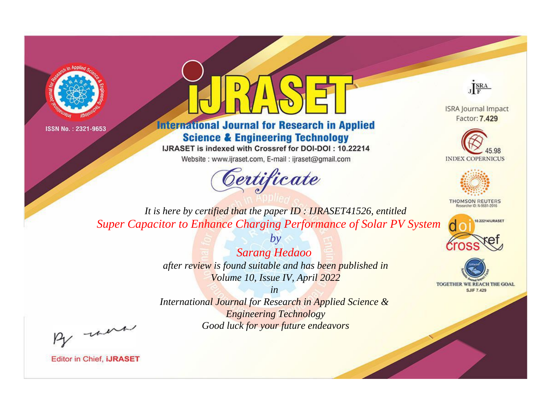



**International Journal for Research in Applied Science & Engineering Technology** 

IJRASET is indexed with Crossref for DOI-DOI: 10.22214

Website: www.ijraset.com, E-mail: ijraset@gmail.com



JERA

**ISRA Journal Impact** Factor: 7.429





**THOMSON REUTERS** 



TOGETHER WE REACH THE GOAL **SJIF 7.429** 

It is here by certified that the paper ID: IJRASET41526, entitled **Super Capacitor to Enhance Charging Performance of Solar PV System** 

> **Sarang Hedaoo** after review is found suitable and has been published in Volume 10, Issue IV, April 2022

 $b\nu$ 

 $in$ International Journal for Research in Applied Science & **Engineering Technology** Good luck for your future endeavors

By morn